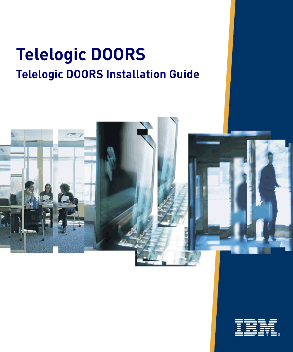# **Telelogic DOORS Telelogic DOORS Installation Guide**



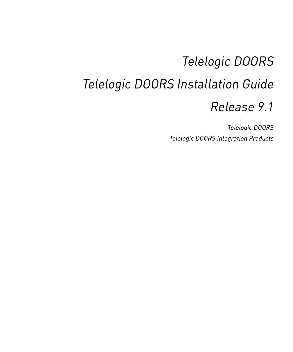# *Telelogic DOORS Telelogic DOORS Installation Guide Release 9.1*

*Telelogic DOORS Telelogic DOORS Integration Products*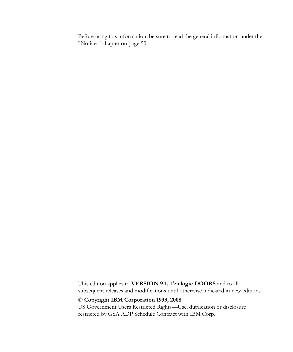Before using this information, be sure to read the general information under the ["Notices" chapter on page 53.](#page-60-0)

This edition applies to **VERSION 9.1, Telelogic DOORS** and to all subsequent releases and modifications until otherwise indicated in new editions.

#### © **Copyright IBM Corporation 1993, 2008**

US Government Users Restricted Rights—Use, duplication or disclosure restricted by GSA ADP Schedule Contract with IBM Corp.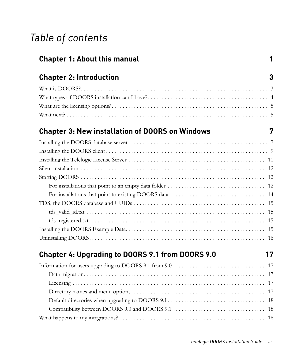# *Table of contents*

| <b>Chapter 1: About this manual</b>                     | 1  |
|---------------------------------------------------------|----|
| <b>Chapter 2: Introduction</b>                          | 3  |
|                                                         |    |
|                                                         |    |
|                                                         |    |
|                                                         |    |
| <b>Chapter 3: New installation of DOORS on Windows</b>  | 7  |
|                                                         |    |
|                                                         |    |
|                                                         |    |
|                                                         |    |
|                                                         |    |
|                                                         |    |
|                                                         |    |
|                                                         |    |
|                                                         |    |
|                                                         |    |
|                                                         |    |
|                                                         |    |
| <b>Chapter 4: Upgrading to DOORS 9.1 from DOORS 9.0</b> | 17 |
|                                                         |    |
|                                                         |    |
|                                                         |    |
|                                                         |    |
|                                                         |    |
|                                                         |    |

|  |  |  | $\sim$ |  |
|--|--|--|--------|--|
|  |  |  |        |  |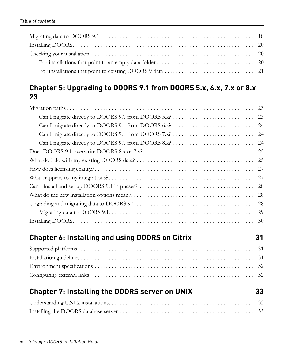# **[Chapter 5: Upgrading to DOORS 9.1 from DOORS 5.x, 6.x, 7.x or 8.x](#page-30-0)  23**

| <b>Chapter 6: Installing and using DOORS on Citrix</b> | 31 |
|--------------------------------------------------------|----|

| <b>Chapter 7: Installing the DOORS server on UNIX</b> | 33 |
|-------------------------------------------------------|----|
|                                                       |    |
|                                                       |    |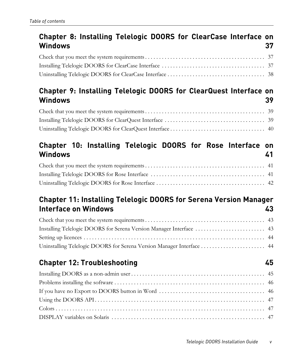# **[Chapter 8: Installing Telelogic DOORS for ClearCase Interface on](#page-44-0)  Windows 37**

# **[Chapter 9: Installing Telelogic DOORS for ClearQuest Interface on](#page-46-0) Windows 39**

# **[Chapter 10: Installing Telelogic DOORS for Rose Interface on](#page-48-0) Windows 41**

# **[Chapter 11: Installing Telelogic DOORS for Serena Version Manager](#page-50-0) Interface on Windows** 43

# **[Chapter 12: Troubleshooting 45](#page-52-0)**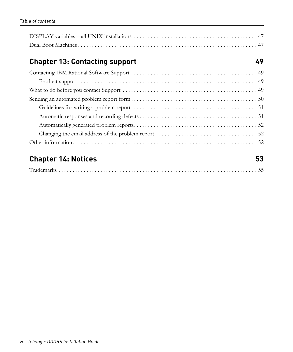# **[Chapter 13: Contacting support 49](#page-56-0)**

# **[Chapter 14: Notices 53](#page-60-1)**

|--|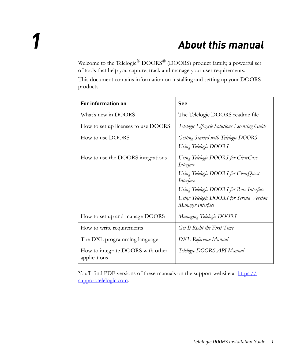# *1 About this manual*

<span id="page-8-0"></span>Welcome to the Telelogic<sup>®</sup> DOORS<sup>®</sup> (DOORS) product family, a powerful set of tools that help you capture, track and manage your user requirements.

This document contains information on installing and setting up your DOORS products.

| For information on                                | <b>See</b>                                                                                                                                                                                                         |  |
|---------------------------------------------------|--------------------------------------------------------------------------------------------------------------------------------------------------------------------------------------------------------------------|--|
| What's new in DOORS                               | The Telelogic DOORS readme file                                                                                                                                                                                    |  |
| How to set up licenses to use DOORS               | Telelogic Lifecycle Solutions Licensing Guide                                                                                                                                                                      |  |
| How to use DOORS                                  | Getting Started with Telelogic DOORS<br><b>Using Telelogic DOORS</b>                                                                                                                                               |  |
| How to use the DOORS integrations                 | Using Telelogic DOORS for ClearCase<br>Interface<br>Using Telelogic DOORS for ClearQuest<br>Interface<br>Using Telelogic DOORS for Rose Interface<br>Using Telelogic DOORS for Serena Version<br>Manager Interface |  |
| How to set up and manage DOORS                    | Managing Telelogic DOORS                                                                                                                                                                                           |  |
| How to write requirements                         | Get It Right the First Time                                                                                                                                                                                        |  |
| The DXL programming language                      | <b>DXL</b> Reference Manual                                                                                                                                                                                        |  |
| How to integrate DOORS with other<br>applications | Telelogic DOORS API Manual                                                                                                                                                                                         |  |

You'll find PDF versions of these manuals on the support website at https:// support.telelogic.com.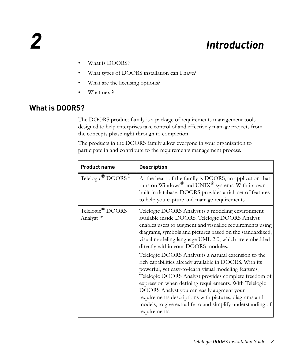- <span id="page-10-0"></span>• [What is DOORS?](#page-10-1)
- [What types of DOORS installation can I have?](#page-11-0)
- [What are the licensing options?](#page-12-0)
- [What next?](#page-12-1)

# <span id="page-10-1"></span>**What is DOORS?**

The DOORS product family is a package of requirements management tools designed to help enterprises take control of and effectively manage projects from the concepts phase right through to completion.

The products in the DOORS family allow everyone in your organization to participate in and contribute to the requirements management process.

<span id="page-10-3"></span><span id="page-10-2"></span>

| <b>Product name</b>                       | <b>Description</b>                                                                                                                                                                                                                                                                                                                                                                                                                                                                                                                                                                                                                                                                                                                                                                                               |
|-------------------------------------------|------------------------------------------------------------------------------------------------------------------------------------------------------------------------------------------------------------------------------------------------------------------------------------------------------------------------------------------------------------------------------------------------------------------------------------------------------------------------------------------------------------------------------------------------------------------------------------------------------------------------------------------------------------------------------------------------------------------------------------------------------------------------------------------------------------------|
| Telelogic <sup>®</sup> DOORS <sup>®</sup> | At the heart of the family is DOORS, an application that<br>runs on Windows® and UNIX® systems. With its own<br>built-in database, DOORS provides a rich set of features<br>to help you capture and manage requirements.                                                                                                                                                                                                                                                                                                                                                                                                                                                                                                                                                                                         |
| Telelogic <sup>®</sup> DOORS<br>Analyst™  | Telelogic DOORS Analyst is a modeling environment<br>available inside DOORS. Telelogic DOORS Analyst<br>enables users to augment and visualize requirements using<br>diagrams, symbols and pictures based on the standardized,<br>visual modeling language UML 2.0, which are embedded<br>directly within your DOORS modules.<br>Telelogic DOORS Analyst is a natural extension to the<br>rich capabilities already available in DOORS. With its<br>powerful, yet easy-to-learn visual modeling features,<br>Telelogic DOORS Analyst provides complete freedom of<br>expression when defining requirements. With Telelogic<br>DOORS Analyst you can easily augment your<br>requirements descriptions with pictures, diagrams and<br>models, to give extra life to and simplify understanding of<br>requirements. |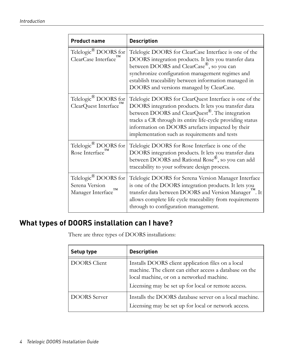<span id="page-11-3"></span><span id="page-11-2"></span>

| <b>Product name</b>                                                                | <b>Description</b>                                                                                                                                                                                                                                                                                                                                |  |
|------------------------------------------------------------------------------------|---------------------------------------------------------------------------------------------------------------------------------------------------------------------------------------------------------------------------------------------------------------------------------------------------------------------------------------------------|--|
| Telelogic <sup>®</sup> DOORS for<br>ClearCase Interface                            | Telelogic DOORS for ClearCase Interface is one of the<br>DOORS integration products. It lets you transfer data<br>between DOORS and ClearCase <sup>®</sup> , so you can<br>synchronize configuration management regimes and<br>establish traceability between information managed in<br>DOORS and versions managed by ClearCase.                  |  |
| Telelogic <sup>®</sup> DOORS for<br>ClearQuest Interface                           | Telelogic DOORS for ClearQuest Interface is one of the<br>DOORS integration products. It lets you transfer data<br>between DOORS and ClearQuest <sup>®</sup> . The integration<br>tracks a CR through its entire life-cycle providing status<br>information on DOORS artefacts impacted by their<br>implementation such as requirements and tests |  |
| Telelogic <sup>®</sup> DOORS for<br>Rose Interface                                 | Telelogic DOORS for Rose Interface is one of the<br>DOORS integration products. It lets you transfer data<br>between DOORS and Rational Rose <sup>®</sup> , so you can add<br>traceability to your software design process.                                                                                                                       |  |
| Telelogic <sup>®</sup> DOORS for<br>Serena Version<br>Manager Interface $\text{m}$ | Telelogic DOORS for Serena Version Manager Interface<br>is one of the DOORS integration products. It lets you<br>transfer data between DOORS and Version Manager™. It<br>allows complete life cycle traceability from requirements<br>through to configuration management.                                                                        |  |

# <span id="page-11-1"></span><span id="page-11-0"></span>**What types of DOORS installation can I have?**

<span id="page-11-5"></span><span id="page-11-4"></span>There are three types of DOORS installations:

<span id="page-11-7"></span><span id="page-11-6"></span>

| Setup type          | <b>Description</b>                                                                                                                                                                                                |
|---------------------|-------------------------------------------------------------------------------------------------------------------------------------------------------------------------------------------------------------------|
| <b>DOORS</b> Client | Installs DOORS client application files on a local<br>machine. The client can either access a database on the<br>local machine, or on a networked machine.<br>Licensing may be set up for local or remote access. |
| <b>DOORS</b> Server | Installs the DOORS database server on a local machine.<br>Licensing may be set up for local or network access.                                                                                                    |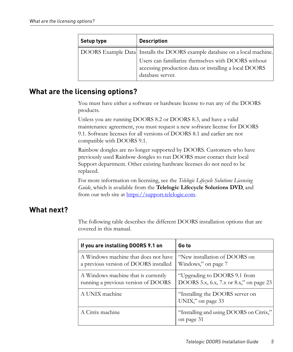<span id="page-12-2"></span>

| Setup type | <b>Description</b>                                                                                                               |
|------------|----------------------------------------------------------------------------------------------------------------------------------|
|            | DOORS Example Data Installs the DOORS example database on a local machine.                                                       |
|            | Users can familiarize themselves with DOORS without<br>accessing production data or installing a local DOORS<br>database server. |

### <span id="page-12-0"></span>**What are the licensing options?**

<span id="page-12-3"></span>You must have either a software or hardware license to run any of the DOORS products.

Unless you are running DOORS 8.2 or DOORS 8.3, and have a valid maintenance agreement, you must request a new software license for DOORS 9.1. Software licenses for all versions of DOORS 8.1 and earlier are not compatible with DOORS 9.1.

Rainbow dongles are no longer supported by DOORS. Customers who have previously used Rainbow dongles to run DOORS must contact their local Support department. Other existing hardware licenses do not need to be replaced.

For more information on licensing, see the *Telelogic Lifecycle Solutions Licensing Guide*, which is available from the **Telelogic Lifecycle Solutions DVD**, and from our web site at https://support.telelogic.com.

# <span id="page-12-1"></span>**What next?**

The following table describes the different DOORS installation options that are covered in this manual.

| If you are installing DOORS 9.1 on                                            | Go to                                                                   |
|-------------------------------------------------------------------------------|-------------------------------------------------------------------------|
| A Windows machine that does not have<br>a previous version of DOORS installed | "New installation of DOORS on<br>Windows," on page 7                    |
| A Windows machine that is currently<br>running a previous version of DOORS    | "Upgrading to DOORS 9.1 from<br>DOORS 5.x, 6.x, 7.x or 8.x," on page 23 |
| A UNIX machine<br>"Installing the DOORS server on<br>UNIX," on page 33        |                                                                         |
| A Citrix machine                                                              | "Installing and using DOORS on Citrix,"<br>on page 31                   |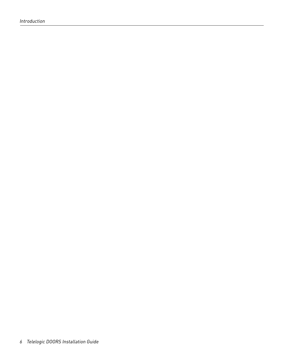*Introduction*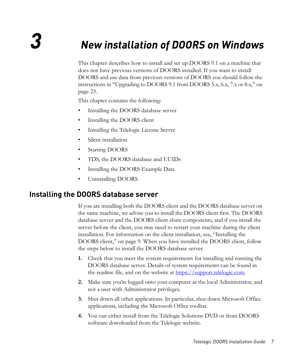# <span id="page-14-2"></span><span id="page-14-0"></span>*3 New installation of DOORS on Windows*

This chapter describes how to install and set up DOORS 9.1 on a machine that does not have previous versions of DOORS installed. If you want to install DOORS and use data from previous versions of DOORS you should follow the instructions in ["Upgrading to DOORS 9.1 from DOORS 5.x, 6.x, 7.x or 8.x," on](#page-30-3)  [page 23.](#page-30-3)

This chapter contains the following:

- [Installing the DOORS database server](#page-14-1)
- [Installing the DOORS client](#page-16-0)
- [Installing the Telelogic License Server](#page-18-0)
- [Silent installation](#page-19-0)
- [Starting DOORS](#page-19-1)
- [TDS, the DOORS database and UUIDs](#page-22-0)
- [Installing the DOORS Example Data](#page-22-3)
- [Uninstalling DOORS](#page-23-0)

# <span id="page-14-3"></span><span id="page-14-1"></span>**Installing the DOORS database server**

If you are installing both the DOORS client and the DOORS database server on the same machine, we advise you to install the DOORS client first. The DOORS database server and the DOORS client share components, and if you install the server before the client, you may need to restart your machine during the client installation. For information on the client installation, see, ["Installing the](#page-16-0)  [DOORS client," on page 9.](#page-16-0) When you have installed the DOORS client, follow the steps below to install the DOORS database server.

- **1.** Check that you meet the system requirements for installing and running the DOORS database server. Details of system requirements can be found in the readme file, and on the website at https://support.telelogic.com.
- **2.** Make sure you're logged onto your computer as the local Administrator, and not a user with Administrator privileges.
- **3.** Shut down all other applications. In particular, shut down Microsoft Office applications, including the Microsoft Office toolbar.
- **4.** You can either install from the Telelogic Solutions DVD or from DOORS software downloaded from the Telelogic website.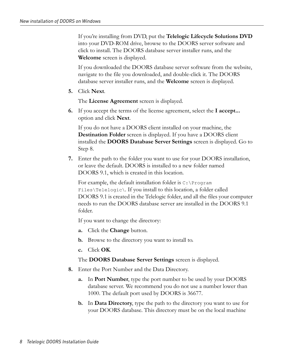If you're installing from DVD, put the **Telelogic Lifecycle Solutions DVD**  into your DVD-ROM drive, browse to the DOORS server software and click to install. The DOORS database server installer runs, and the **Welcome** screen is displayed.

If you downloaded the DOORS database server software from the website, navigate to the file you downloaded, and double-click it. The DOORS database server installer runs, and the **Welcome** screen is displayed.

**5.** Click **Next**.

The **License Agreement** screen is displayed.

**6.** If you accept the terms of the license agreement, select the **I accept...** option and click **Next**.

If you do not have a DOORS client installed on your machine, the **Destination Folder** screen is displayed. If you have a DOORS client installed the **DOORS Database Server Settings** screen is displayed. Go to Step 8.

**7.** Enter the path to the folder you want to use for your DOORS installation, or leave the default. DOORS is installed to a new folder named DOORS 9.1, which is created in this location.

For example, the default installation folder is  $C:\Per{\text{Program}}$ Files\Telelogic\. If you install to this location, a folder called DOORS 9.1 is created in the Telelogic folder, and all the files your computer needs to run the DOORS database server are installed in the DOORS 9.1 folder.

If you want to change the directory:

- **a.** Click the **Change** button.
- **b.** Browse to the directory you want to install to.
- **c.** Click **OK**.

The **DOORS Database Server Settings** screen is displayed.

- **8.** Enter the Port Number and the Data Directory.
	- **a.** In **Port Number**, type the port number to be used by your DOORS database server. We recommend you do not use a number lower than 1000. The default port used by DOORS is 36677.
	- **b.** In **Data Directory**, type the path to the directory you want to use for your DOORS database. This directory must be on the local machine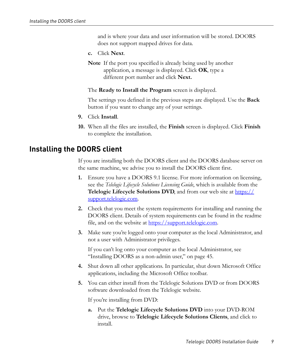and is where your data and user information will be stored. DOORS does not support mapped drives for data.

- **c.** Click **Next**.
- **Note** If the port you specified is already being used by another application, a message is displayed. Click **OK**, type a different port number and click **Next.**

The **Ready to Install the Program** screen is displayed.

The settings you defined in the previous steps are displayed. Use the **Back** button if you want to change any of your settings.

- **9.** Click **Install**.
- <span id="page-16-1"></span>**10.** When all the files are installed, the **Finish** screen is displayed. Click **Finish** to complete the installation.

### <span id="page-16-0"></span>**Installing the DOORS client**

If you are installing both the DOORS client and the DOORS database server on the same machine, we advise you to install the DOORS client first.

- **1.** Ensure you have a DOORS 9.1 license. For more information on licensing, see the *Telelogic Lifecycle Solutions Licensing Guide*, which is available from the **Telelogic Lifecycle Solutions DVD**, and from our web site at **https://** support.telelogic.com.
- **2.** Check that you meet the system requirements for installing and running the DOORS client. Details of system requirements can be found in the readme file, and on the website at <u>https://support.telelogic.com</u>.
- **3.** Make sure you're logged onto your computer as the local Administrator, and not a user with Administrator privileges.

If you can't log onto your computer as the local Administrator, see ["Installing DOORS as a non-admin user," on page 45](#page-52-2).

- **4.** Shut down all other applications. In particular, shut down Microsoft Office applications, including the Microsoft Office toolbar.
- **5.** You can either install from the Telelogic Solutions DVD or from DOORS software downloaded from the Telelogic website.

If you're installing from DVD:

**a.** Put the **Telelogic Lifecycle Solutions DVD** into your DVD-ROM drive, browse to **Telelogic Lifecycle Solutions Clients**, and click to install.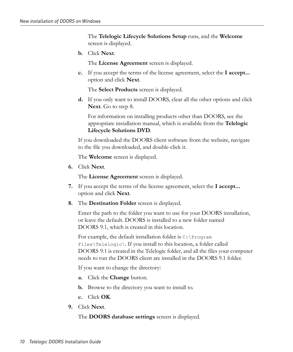The **Telelogic Lifecycle Solutions Setup** runs, and the **Welcome** screen is displayed.

**b.** Click **Next**.

The **License Agreement** screen is displayed.

**c.** If you accept the terms of the license agreement, select the **I accept...** option and click **Next**.

The **Select Products** screen is displayed.

**d.** If you only want to install DOORS, clear all the other options and click **Next**. Go to [step 8](#page-17-0).

For information on installing products other than DOORS, see the appropriate installation manual, which is available from the **Telelogic Lifecycle Solutions DVD**.

If you downloaded the DOORS client software from the website, navigate to the file you downloaded, and double-click it.

The **Welcome** screen is displayed.

**6.** Click **Next**.

The **License Agreement** screen is displayed.

- **7.** If you accept the terms of the license agreement, select the **I accept...** option and click **Next**.
- <span id="page-17-0"></span>**8.** The **Destination Folder** screen is displayed.

Enter the path to the folder you want to use for your DOORS installation, or leave the default. DOORS is installed to a new folder named DOORS 9.1, which is created in this location.

For example, the default installation folder is C:\Program  $Files\Telelogic\$ . If you install to this location, a folder called DOORS 9.1 is created in the Telelogic folder, and all the files your computer needs to run the DOORS client are installed in the DOORS 9.1 folder.

If you want to change the directory:

- **a.** Click the **Change** button.
- **b.** Browse to the directory you want to install to.
- **c.** Click **OK**.
- **9.** Click **Next**.

The **DOORS database settings** screen is displayed.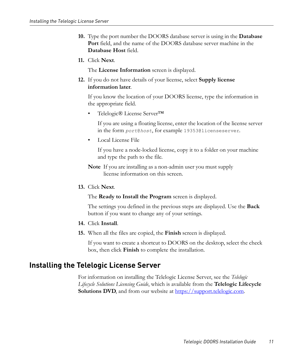- **10.** Type the port number the DOORS database server is using in the **Database Port** field, and the name of the DOORS database server machine in the **Database Host** field.
- **11.** Click **Next**.

The **License Information** screen is displayed.

**12.** If you do not have details of your license, select **Supply license information later**.

If you know the location of your DOORS license, type the information in the appropriate field.

• Telelogic® License Server™

If you are using a floating license, enter the location of the license server in the form *port*@*host*, for example 19353@licenseserver.

• Local License File

If you have a node-locked license, copy it to a folder on your machine and type the path to the file.

- **Note** If you are installing as a non-admin user you must supply license information on this screen.
- **13.** Click **Next**.

The **Ready to Install the Program** screen is displayed.

The settings you defined in the previous steps are displayed. Use the **Back** button if you want to change any of your settings.

- **14.** Click **Install**.
- **15.** When all the files are copied, the **Finish** screen is displayed.

If you want to create a shortcut to DOORS on the desktop, select the check box, then click **Finish** to complete the installation.

#### <span id="page-18-0"></span>**Installing the Telelogic License Server**

For information on installing the Telelogic License Server, see the *Telelogic Lifecycle Solutions Licensing Guide*, which is available from the **Telelogic Lifecycle Solutions DVD**, and from our website at https://support.telelogic.com.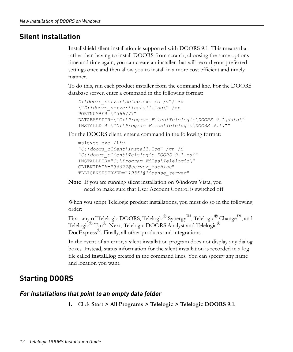# <span id="page-19-4"></span><span id="page-19-0"></span>**Silent installation**

Installshield silent installation is supported with DOORS 9.1. This means that rather than having to install DOORS from scratch, choosing the same options time and time again, you can create an installer that will record your preferred settings once and then allow you to install in a more cost efficient and timely manner.

To do this, run each product installer from the command line. For the DOORS database server, enter a command in the following format:

```
C:\doors_server\setup.exe /s /v"/l*v 
\"C:\doors_server\install.log\" /qn
PORTNUMBER=\"36677\"
DATABASEDIR=\"C:\Program Files\Telelogic\DOORS 9.1\data\" 
INSTALLDIR=\"C:\Program Files\Telelogic\DOORS 9.1\""
```
For the DOORS client, enter a command in the following format:

```
msiexec.exe /l*v 
"C:\doors_client\install.log" /qn /i 
"C:\doors_client\Telelogic DOORS 9.1.msi" 
INSTALLDIR="C:\Program Files\Telelogic\" 
CLIENTDATA="36677@server_machine"
TLLICENSESERVER="19353@license_server"
```
**Note** If you are running silent installation on Windows Vista, you need to make sure that User Account Control is switched off.

When you script Telelogic product installations, you must do so in the following order:

First, any of Telelogic DOORS, Telelogic<sup>®</sup> Synergy<sup>™</sup>, Telelogic<sup>®</sup> Change<sup>™</sup>, and Telelogic® Tau®. Next, Telelogic DOORS Analyst and Telelogic® DocExpress®. Finally, all other products and integrations.

<span id="page-19-3"></span>In the event of an error, a silent installation program does not display any dialog boxes. Instead, status information for the silent installation is recorded in a log file called **install.log** created in the command lines. You can specify any name and location you want.

# <span id="page-19-1"></span>**Starting DOORS**

# <span id="page-19-2"></span>*For installations that point to an empty data folder*

**1.** Click **Start > All Programs > Telelogic > Telelogic DOORS 9.1**.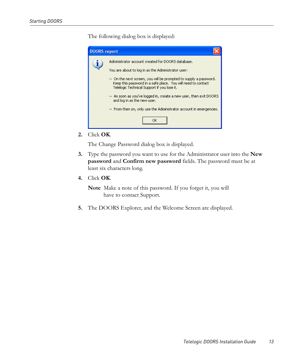The following dialog box is displayed:



**2.** Click **OK**.

The Change Password dialog box is displayed.

- **3.** Type the password you want to use for the Administrator user into the **New password** and **Confirm new password** fields. The password must be at least six characters long.
- **4.** Click **OK**.

**Note** Make a note of this password. If you forget it, you will have to contact Support.

**5.** The DOORS Explorer, and the Welcome Screen are displayed.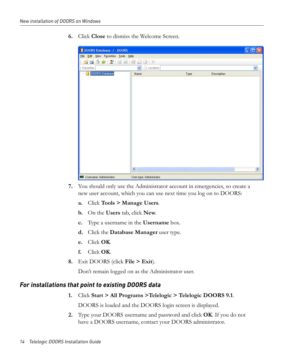**6.** Click **Close** to dismiss the Welcome Screen.



- **7.** You should only use the Administrator account in emergencies, so create a new user account, which you can use next time you log on to DOORS:
	- **a.** Click **Tools > Manage Users**.
	- **b.** On the **Users** tab, click **New**.
	- **c.** Type a username in the **Username** box.
	- **d.** Click the **Database Manager** user type.
	- **e.** Click **OK**.
	- **f.** Click **OK**.
- **8.** Exit DOORS (click **File > Exit**).

Don't remain logged on as the Administrator user.

#### <span id="page-21-0"></span>*For installations that point to existing DOORS data*

**1.** Click **Start > All Programs >Telelogic > Telelogic DOORS 9.1**.

DOORS is loaded and the DOORS login screen is displayed.

**2.** Type your DOORS username and password and click **OK**. If you do not have a DOORS username, contact your DOORS administrator.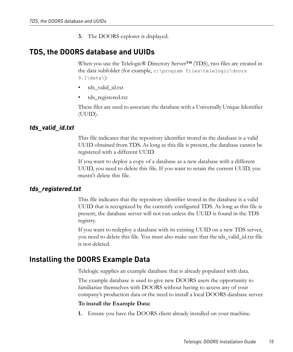<span id="page-22-5"></span>**3.** The DOORS explorer is displayed.

#### <span id="page-22-0"></span>**TDS, the DOORS database and UUIDs**

When you use the Telelogic<sup>®</sup> Directory Server<sup>™</sup> (TDS), two files are created in the data subfolder (for example, c:\program files\telelogic\doors  $9.1\data$ :

- tds\_valid\_id.txt
- tds\_registered.txt

These files are used to associate the database with a Universally Unique Identifier (UUID).

#### <span id="page-22-1"></span>*tds\_valid\_id.txt*

This file indicates that the repository identifier stored in the database is a valid UUID obtained from TDS. As long as this file is present, the database cannot be registered with a different UUID.

If you want to deploy a copy of a database as a new database with a different UUID, you need to delete this file. If you want to retain the current UUID, you mustn't delete this file.

#### <span id="page-22-2"></span>*tds\_registered.txt*

This file indicates that the repository identifier stored in the database is a valid UUID that is recognized by the currently configured TDS. As long as this file is present, the database server will not run unless the UUID is found in the TDS registry.

If you want to redeploy a database with its existing UUID on a new TDS server, you need to delete this file. You must also make sure that the tds\_valid\_id.txt file is not deleted.

#### <span id="page-22-3"></span>**Installing the DOORS Example Data**

<span id="page-22-4"></span>Telelogic supplies an example database that is already populated with data.

The example database is used to give new DOORS users the opportunity to familiarize themselves with DOORS without having to access any of your company's production data or the need to install a local DOORS database server.

#### **To install the Example Data:**

**1.** Ensure you have the DOORS client already installed on your machine.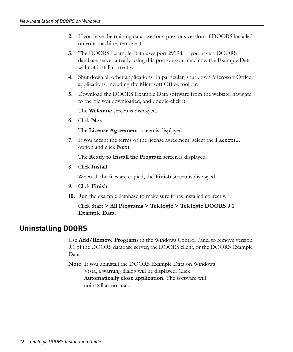- **2.** If you have the training database for a previous version of DOORS installed on your machine, remove it.
- **3.** The DOORS Example Data uses port 29998. If you have a DOORS database server already using this port on your machine, the Example Data will not install correctly.
- **4.** Shut down all other applications. In particular, shut down Microsoft Office applications, including the Microsoft Office toolbar.
- **5.** Download the DOORS Example Data software from the website, navigate to the file you downloaded, and double-click it.

The **Welcome** screen is displayed.

**6.** Click **Next**.

The **License Agreement** screen is displayed.

**7.** If you accept the terms of the license agreement, select the **I accept...** option and click **Next**.

The **Ready to Install the Program** screen is displayed.

**8.** Click **Install**.

When all the files are copied, the **Finish** screen is displayed.

- **9.** Click **Finish**.
- **10.** Run the example database to make sure it has installed correctly.

#### Click **Start > All Programs > Telelogic > Telelogic DOORS 9.1 Example Data**.

# <span id="page-23-1"></span><span id="page-23-0"></span>**Uninstalling DOORS**

Use **Add/Remove Programs** in the Windows Control Panel to remove version 9.1 of the DOORS database server, the DOORS client, or the DOORS Example Data.

**Note** If you uninstall the DOORS Example Data on Windows Vista, a warning dialog will be displayed. Click **Automatically close application**. The software will uninstall as normal.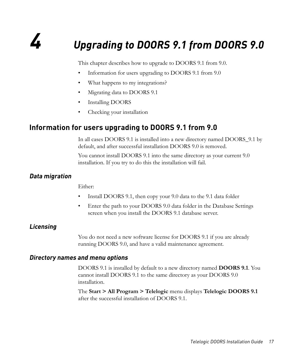# <span id="page-24-0"></span>*4 Upgrading to DOORS 9.1 from DOORS 9.0*

<span id="page-24-5"></span>This chapter describes how to upgrade to DOORS 9.1 from 9.0.

- [Information for users upgrading to DOORS 9.1 from 9.0](#page-24-1)
- [What happens to my integrations?](#page-25-2)
- [Migrating data to DOORS 9.1](#page-25-3)
- [Installing DOORS](#page-27-0)
- [Checking your installation](#page-27-1)

# <span id="page-24-1"></span>**Information for users upgrading to DOORS 9.1 from 9.0**

In all cases DOORS 9.1 is installed into a new directory named DOORS\_9.1 by default, and after successful installation DOORS 9.0 is removed.

You cannot install DOORS 9.1 into the same directory as your current 9.0 installation. If you try to do this the installation will fail.

#### <span id="page-24-2"></span>*Data migration*

Either:

- Install DOORS 9.1, then copy your 9.0 data to the 9.1 data folder
- Enter the path to your DOORS 9.0 data folder in the Database Settings screen when you install the DOORS 9.1 database server.

#### <span id="page-24-3"></span>*Licensing*

You do not need a new software license for DOORS 9.1 if you are already running DOORS 9.0, and have a valid maintenance agreement.

#### <span id="page-24-4"></span>*Directory names and menu options*

DOORS 9.1 is installed by default to a new directory named **DOORS 9.1**. You cannot install DOORS 9.1 to the same directory as your DOORS 9.0 installation.

The **Start > All Program > Telelogic** menu displays **Telelogic DOORS 9.1** after the successful installation of DOORS 9.1.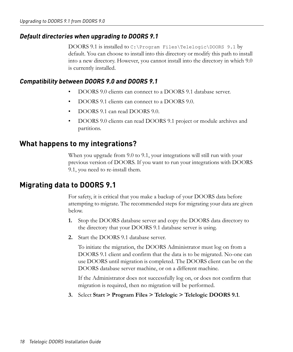#### <span id="page-25-0"></span>*Default directories when upgrading to DOORS 9.1*

DOORS 9.1 is installed to C:\Program Files\Telelogic\DOORS 9.1 by default. You can choose to install into this directory or modify this path to install into a new directory. However, you cannot install into the directory in which 9.0 is currently installed.

#### <span id="page-25-1"></span>*Compatibility between DOORS 9.0 and DOORS 9.1*

- DOORS 9.0 clients can connect to a DOORS 9.1 database server.
- DOORS 9.1 clients can connect to a DOORS 9.0.
- DOORS 9.1 can read DOORS 9.0.
- DOORS 9.0 clients can read DOORS 9.1 project or module archives and partitions.

### <span id="page-25-2"></span>**What happens to my integrations?**

When you upgrade from 9.0 to 9.1, your integrations will still run with your previous version of DOORS. If you want to run your integrations with DOORS 9.1, you need to re-install them.

# <span id="page-25-3"></span>**Migrating data to DOORS 9.1**

For safety, it is critical that you make a backup of your DOORS data before attempting to migrate. The recommended steps for migrating your data are given below.

- **1.** Stop the DOORS database server and copy the DOORS data directory to the directory that your DOORS 9.1 database server is using.
- **2.** Start the DOORS 9.1 database server.

To initiate the migration, the DOORS Administrator must log on from a DOORS 9.1 client and confirm that the data is to be migrated. No-one can use DOORS until migration is completed. The DOORS client can be on the DOORS database server machine, or on a different machine.

If the Administrator does not successfully log on, or does not confirm that migration is required, then no migration will be performed.

**3.** Select **Start > Program Files > Telelogic > Telelogic DOORS 9.1**.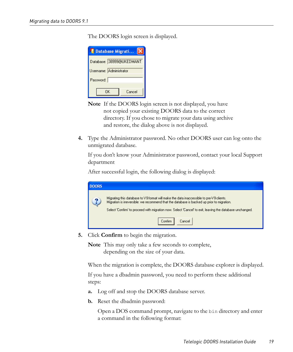The DOORS login screen is displayed.

| <sup>8</sup> Database Migrati |  |
|-------------------------------|--|
| Database: 38999@UKEDMANT      |  |
| Username: Administrator       |  |
| Password:                     |  |
| Cancel<br>ΠK                  |  |

**Note** If the DOORS login screen is not displayed, you have not copied your existing DOORS data to the correct directory. If you chose to migrate your data using archive and restore, the dialog above is not displayed.

**4.** Type the Administrator password. No other DOORS user can log onto the unmigrated database.

If you don't know your Administrator password, contact your local Support department

After successful login, the following dialog is displayed:

| <b>DOORS</b> |                                                                                                                                                                                                                                                                                                                        |
|--------------|------------------------------------------------------------------------------------------------------------------------------------------------------------------------------------------------------------------------------------------------------------------------------------------------------------------------|
|              | Migrating this database to V9 format will make the data inaccessible to pre-V9 clients.<br>Migration is irreversible: we recommend that the database is backed up prior to migration.<br>Select 'Confirm' to proceed with migration now. Select 'Cancel' to exit, leaving the database unchanged.<br>Cancel<br>Confirm |

**5.** Click **Confirm** to begin the migration.

**Note** This may only take a few seconds to complete, depending on the size of your data.

When the migration is complete, the DOORS database explorer is displayed.

If you have a dbadmin password, you need to perform these additional steps:

- **a.** Log off and stop the DOORS database server.
- **b.** Reset the dbadmin password:

Open a DOS command prompt, navigate to the bin directory and enter a command in the following format: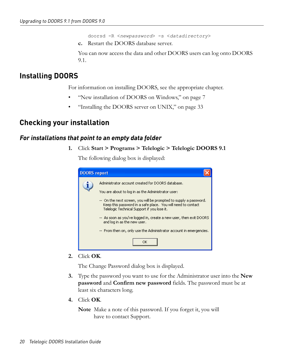doorsd -R <*newpassword*> -s <*datadirectory*>

**c.** Restart the DOORS database server.

You can now access the data and other DOORS users can log onto DOORS 9.1.

#### <span id="page-27-0"></span>**Installing DOORS**

For information on installing DOORS, see the appropriate chapter.

- ["New installation of DOORS on Windows," on page 7](#page-14-2)
- ["Installing the DOORS server on UNIX," on page 33](#page-40-3)

### <span id="page-27-1"></span>**Checking your installation**

#### <span id="page-27-2"></span>*For installations that point to an empty data folder*

**1.** Click **Start > Programs > Telelogic > Telelogic DOORS 9.1**

The following dialog box is displayed:



**2.** Click **OK**.

The Change Password dialog box is displayed.

- **3.** Type the password you want to use for the Administrator user into the **New password** and **Confirm new password** fields. The password must be at least six characters long.
- **4.** Click **OK**.

**Note** Make a note of this password. If you forget it, you will have to contact Support.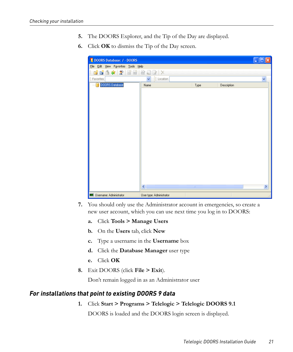- **5.** The DOORS Explorer, and the Tip of the Day are displayed.
- **6.** Click **OK** to dismiss the Tip of the Day screen.



- **7.** You should only use the Administrator account in emergencies, so create a new user account, which you can use next time you log in to DOORS:
	- **a.** Click **Tools > Manage Users**
	- **b.** On the **Users** tab, click **New**
	- **c.** Type a username in the **Username** box
	- **d.** Click the **Database Manager** user type
	- **e.** Click **OK**
- **8.** Exit DOORS (click **File > Exit**).

Don't remain logged in as an Administrator user

#### <span id="page-28-0"></span>*For installations that point to existing DOORS 9 data*

**1.** Click **Start > Programs > Telelogic > Telelogic DOORS 9.1**

DOORS is loaded and the DOORS login screen is displayed.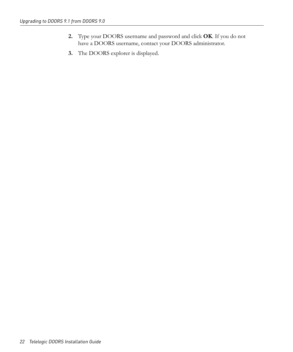- **2.** Type your DOORS username and password and click **OK**. If you do not have a DOORS username, contact your DOORS administrator.
- **3.** The DOORS explorer is displayed.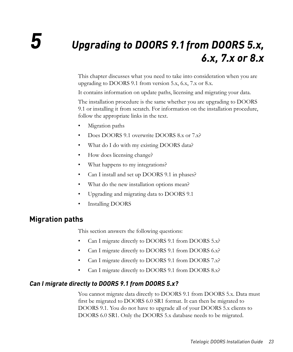# <span id="page-30-5"></span><span id="page-30-3"></span><span id="page-30-0"></span>*5 Upgrading to DOORS 9.1 from DOORS 5.x, 6.x, 7.x or 8.x*

This chapter discusses what you need to take into consideration when you are upgrading to DOORS 9.1 from version 5.x, 6.x, 7.x or 8.x.

It contains information on update paths, licensing and migrating your data.

The installation procedure is the same whether you are upgrading to DOORS 9.1 or installing it from scratch. For information on the installation procedure, follow the appropriate links in the text.

- [Migration paths](#page-30-1)
- [Does DOORS 9.1 overwrite DOORS 8.x or 7.x?](#page-32-0)
- [What do I do with my existing DOORS data?](#page-32-1)
- [How does licensing change?](#page-34-0)
- [What happens to my integrations?](#page-34-1)
- [Can I install and set up DOORS 9.1 in phases?](#page-35-0)
- [What do the new installation options mean?](#page-35-1)
- [Upgrading and migrating data to DOORS 9.1](#page-35-2)
- [Installing DOORS](#page-37-0)

#### <span id="page-30-1"></span>**Migration paths**

This section answers the following questions:

- [Can I migrate directly to DOORS 9.1 from DOORS 5.x?](#page-30-2)
- [Can I migrate directly to DOORS 9.1 from DOORS 6.x?](#page-31-0)
- [Can I migrate directly to DOORS 9.1 from DOORS 7.x?](#page-31-1)
- <span id="page-30-4"></span>[Can I migrate directly to DOORS 9.1 from DOORS 8.x?](#page-31-2)

#### <span id="page-30-2"></span>*Can I migrate directly to DOORS 9.1 from DOORS 5.x?*

You cannot migrate data directly to DOORS 9.1 from DOORS 5.x. Data must first be migrated to DOORS 6.0 SR1 format. It can then be migrated to DOORS 9.1. You do not have to upgrade all of your DOORS 5.x clients to DOORS 6.0 SR1. Only the DOORS 5.x database needs to be migrated.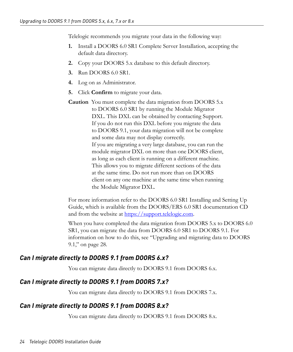Telelogic recommends you migrate your data in the following way:

- **1.** Install a DOORS 6.0 SR1 Complete Server Installation, accepting the default data directory.
- **2.** Copy your DOORS 5.x database to this default directory.
- **3.** Run DOORS 6.0 SR1.
- **4.** Log on as Administrator.
- **5.** Click **Confirm** to migrate your data.
- **Caution** You must complete the data migration from DOORS 5.x to DOORS 6.0 SR1 by running the Module Migrator DXL. This DXL can be obtained by contacting Support. If you do not run this DXL before you migrate the data to DOORS 9.1, your data migration will not be complete and some data may not display correctly. If you are migrating a very large database, you can run the module migrator DXL on more than one DOORS client, as long as each client is running on a different machine. This allows you to migrate different sections of the data at the same time. Do not run more than on DOORS client on any one machine at the same time when running the Module Migrator DXL.

For more information refer to the DOORS 6.0 SR1 Installing and Setting Up Guide, which is available from the DOORS/ERS 6.0 SR1 documentation CD and from the website at https://support.telelogic.com.

When you have completed the data migration from DOORS 5.x to DOORS 6.0 SR1, you can migrate the data from DOORS 6.0 SR1 to DOORS 9.1. For information on how to do this, see ["Upgrading and migrating data to DOORS](#page-35-2)  [9.1," on page 28](#page-35-2).

#### <span id="page-31-0"></span>*Can I migrate directly to DOORS 9.1 from DOORS 6.x?*

<span id="page-31-4"></span><span id="page-31-3"></span>You can migrate data directly to DOORS 9.1 from DOORS 6.x.

#### <span id="page-31-1"></span>*Can I migrate directly to DOORS 9.1 from DOORS 7.x?*

<span id="page-31-5"></span>You can migrate data directly to DOORS 9.1 from DOORS 7.x.

#### <span id="page-31-2"></span>*Can I migrate directly to DOORS 9.1 from DOORS 8.x?*

You can migrate data directly to DOORS 9.1 from DOORS 8.x.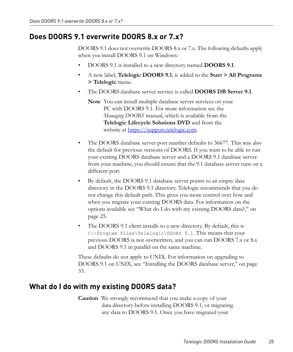### <span id="page-32-0"></span>**Does DOORS 9.1 overwrite DOORS 8.x or 7.x?**

DOORS 9.1 does not overwrite DOORS 8.x or 7.x. The following defaults apply when you install DOORS 9.1 on Windows:

- DOORS 9.1 is installed to a new directory named **DOORS 9.1**.
- A new label, **Telelogic DOORS 9.1**, is added to the **Start > All Programs > Telelogic** menu.
- The DOORS database server service is called **DOORS DB Server 9.1**.

**Note** You can install multiple database server services on your PC with DOORS 9.1. For more information see the *Managing DOORS* manual, which is available from the **Telelogic Lifecycle Solutions DVD** and from the website at https://support.telelogic.com.

- The DOORS database server port number defaults to 36677. This was also the default for previous versions of DOORS. If you want to be able to run your existing DOORS database server and a DOORS 9.1 database server from your machine, you should ensure that the 9.1 database server runs on a different port.
- By default, the DOORS 9.1 database server points to an empty data directory in the DOORS 9.1 directory. Telelogic recommends that you do not change this default path. This gives you more control over how and when you migrate your existing DOORS data. For information on the options available see ["What do I do with my existing DOORS data?," on](#page-32-1)  [page 25.](#page-32-1)
- The DOORS 9.1 client installs to a new directory. By default, this is C:\Program Files\Telelogic\DOORS 9.1. This means that your previous DOORS is not overwritten, and you can run DOORS 7.x or 8.x and DOORS 9.1 in parallel on the same machine.

These defaults do not apply to UNIX. For information on upgrading to DOORS 9.1 on UNIX, see ["Installing the DOORS database server," on page](#page-40-4)  [33](#page-40-4).

# <span id="page-32-1"></span>**What do I do with my existing DOORS data?**

**Caution** We strongly recommend that you make a copy of your data directory before installing DOORS 9.1, or migrating any data to DOORS 9.1. Once you have migrated your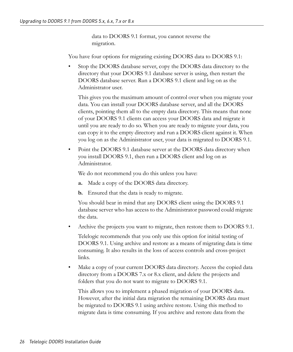data to DOORS 9.1 format, you cannot reverse the migration.

You have four options for migrating existing DOORS data to DOORS 9.1:

• Stop the DOORS database server, copy the DOORS data directory to the directory that your DOORS 9.1 database server is using, then restart the DOORS database server. Run a DOORS 9.1 client and log on as the Administrator user.

This gives you the maximum amount of control over when you migrate your data. You can install your DOORS database server, and all the DOORS clients, pointing them all to the empty data directory. This means that none of your DOORS 9.1 clients can access your DOORS data and migrate it until you are ready to do so. When you are ready to migrate your data, you can copy it to the empty directory and run a DOORS client against it. When you log on as the Administrator user, your data is migrated to DOORS 9.1.

• Point the DOORS 9.1 database server at the DOORS data directory when you install DOORS 9.1, then run a DOORS client and log on as Administrator.

We do not recommend you do this unless you have:

- **a.** Made a copy of the DOORS data directory.
- **b.** Ensured that the data is ready to migrate.

You should bear in mind that any DOORS client using the DOORS 9.1 database server who has access to the Administrator password could migrate the data.

• Archive the projects you want to migrate, then restore them to DOORS 9.1.

Telelogic recommends that you only use this option for initial testing of DOORS 9.1. Using archive and restore as a means of migrating data is time consuming. It also results in the loss of access controls and cross-project links.

• Make a copy of your current DOORS data directory. Access the copied data directory from a DOORS 7.x or 8.x client, and delete the projects and folders that you do not want to migrate to DOORS 9.1.

This allows you to implement a phased migration of your DOORS data. However, after the initial data migration the remaining DOORS data must be migrated to DOORS 9.1 using archive restore. Using this method to migrate data is time consuming. If you archive and restore data from the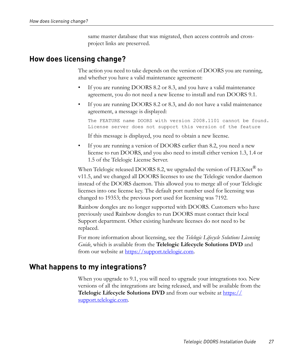same master database that was migrated, then access controls and crossproject links are preserved.

# <span id="page-34-0"></span>**How does licensing change?**

The action you need to take depends on the version of DOORS you are running, and whether you have a valid maintenance agreement:

- If you are running DOORS 8.2 or 8.3, and you have a valid maintenance agreement, you do not need a new license to install and run DOORS 9.1.
- If you are running DOORS 8.2 or 8.3, and do not have a valid maintenance agreement, a message is displayed:

The FEATURE name DOORS with version 2008.1101 cannot be found. License server does not support this version of the feature

If this message is displayed, you need to obtain a new license.

If you are running a version of DOORS earlier than 8.2, you need a new license to run DOORS, and you also need to install either version 1.3, 1.4 or 1.5 of the Telelogic License Server.

When Telelogic released DOORS 8.2, we upgraded the version of  $FLEXnet^{\omega}$  to v11.5, and we changed all DOORS licenses to use the Telelogic vendor daemon instead of the DOORS daemon. This allowed you to merge all of your Telelogic licenses into one license key. The default port number used for licensing was changed to 19353; the previous port used for licensing was 7192.

Rainbow dongles are no longer supported with DOORS. Customers who have previously used Rainbow dongles to run DOORS must contact their local Support department. Other existing hardware licenses do not need to be replaced.

For more information about licensing, see the *Telelogic Lifecycle Solutions Licensing Guide*, which is available from the **Telelogic Lifecycle Solutions DVD** and from our website at https://support.telelogic.com.

### <span id="page-34-1"></span>**What happens to my integrations?**

When you upgrade to 9.1, you will need to upgrade your integrations too. New versions of all the integrations are being released, and will be available from the **Telelogic Lifecycle Solutions DVD** and from our website at **https://** support.telelogic.com.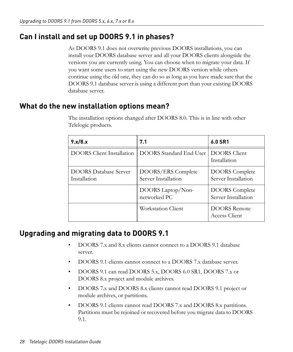# <span id="page-35-0"></span>**Can I install and set up DOORS 9.1 in phases?**

As DOORS 9.1 does not overwrite previous DOORS installations, you can install your DOORS database server and all your DOORS clients alongside the versions you are currently using. You can choose when to migrate your data. If you want some users to start using the new DOORS version while others continue using the old one, they can do so as long as you have made sure that the DOORS 9.1 database server is using a different port than your existing DOORS database server.

# <span id="page-35-1"></span>**What do the new installation options mean?**

| 9.x/8.x                                      | 7.1                                       | <b>6.0 SR1</b>                               |
|----------------------------------------------|-------------------------------------------|----------------------------------------------|
| DOORS Client Installation                    | DOORS Standard End User                   | <b>DOORS</b> Client<br>Installation          |
| <b>DOORS</b> Database Server<br>Installation | DOORS/ERS Complete<br>Server Installation | <b>DOORS</b> Complete<br>Server Installation |
|                                              | DOORS Laptop/Non-<br>networked PC         | <b>DOORS</b> Complete<br>Server Installation |
|                                              | Workstation Client                        | <b>DOORS</b> Remote<br>Access Client         |

The installation options changed after DOORS 8.0. This is in line with other Telelogic products.

# <span id="page-35-2"></span>**Upgrading and migrating data to DOORS 9.1**

- DOORS 7.x and 8.x clients cannot connect to a DOORS 9.1 database server.
- DOORS 9.1 clients cannot connect to a DOORS 7.x database server.
- DOORS 9.1 can read DOORS 5.x, DOORS 6.0 SR1, DOORS 7.x or DOORS 8.x project and module archives.
- DOORS 7.x and DOORS 8.x clients cannot read DOORS 9.1 project or module archives, or partitions.
- DOORS 9.1 clients cannot read DOORS 7.x and DOORS 8.x partitions. Partitions must be rejoined or recovered before you migrate data to DOORS 9.1.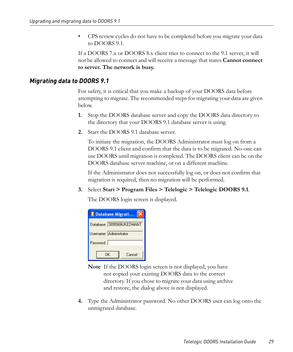• CPS review cycles do not have to be completed before you migrate your data to DOORS 9.1.

If a DOORS 7.x or DOORS 8.x client tries to connect to the 9.1 server, it will not be allowed to connect and will receive a message that states **Cannot connect to server. The network is busy.**

#### <span id="page-36-0"></span>*Migrating data to DOORS 9.1*

For safety, it is critical that you make a backup of your DOORS data before attempting to migrate. The recommended steps for migrating your data are given below.

- **1.** Stop the DOORS database server and copy the DOORS data directory to the directory that your DOORS 9.1 database server is using.
- **2.** Start the DOORS 9.1 database server.

To initiate the migration, the DOORS Administrator must log on from a DOORS 9.1 client and confirm that the data is to be migrated. No-one can use DOORS until migration is completed. The DOORS client can be on the DOORS database server machine, or on a different machine.

If the Administrator does not successfully log on, or does not confirm that migration is required, then no migration will be performed.

**3.** Select **Start > Program Files > Telelogic > Telelogic DOORS 9.1**.

The DOORS login screen is displayed.

| <sup>1</sup> Database Migrati |
|-------------------------------|
| Database: 38999@UKEDMANT      |
| Username: Administrator       |
| Password:                     |
| Cancel<br>ΠK                  |

- **Note** If the DOORS login screen is not displayed, you have not copied your existing DOORS data to the correct directory. If you chose to migrate your data using archive and restore, the dialog above is not displayed.
- **4.** Type the Administrator password. No other DOORS user can log onto the unmigrated database.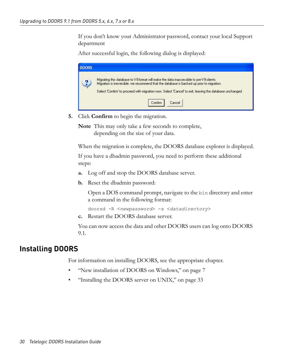If you don't know your Administrator password, contact your local Support department

After successful login, the following dialog is displayed:



**5.** Click **Confirm** to begin the migration.

**Note** This may only take a few seconds to complete, depending on the size of your data.

When the migration is complete, the DOORS database explorer is displayed.

If you have a dbadmin password, you need to perform these additional steps:

- **a.** Log off and stop the DOORS database server.
- **b.** Reset the dbadmin password:

Open a DOS command prompt, navigate to the bin directory and enter a command in the following format:

doorsd -R <*newpassword*> -s <*datadirectory*>

**c.** Restart the DOORS database server.

You can now access the data and other DOORS users can log onto DOORS 9.1.

### <span id="page-37-0"></span>**Installing DOORS**

For information on installing DOORS, see the appropriate chapter.

- ["New installation of DOORS on Windows," on page 7](#page-14-2)
- ["Installing the DOORS server on UNIX," on page 33](#page-40-3)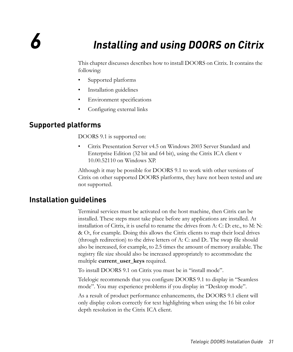# <span id="page-38-3"></span>*6 Installing and using DOORS on Citrix*

<span id="page-38-0"></span>This chapter discusses describes how to install DOORS on Citrix. It contains the following:

- [Supported platforms](#page-38-1)
- [Installation guidelines](#page-38-2)
- [Environment specifications](#page-39-0)
- [Configuring external links](#page-39-1)

### <span id="page-38-1"></span>**Supported platforms**

<span id="page-38-4"></span>DOORS 9.1 is supported on:

• Citrix Presentation Server v4.5 on Windows 2003 Server Standard and Enterprise Edition (32 bit and 64 bit), using the Citrix ICA client v 10.00.52110 on Windows XP.

Although it may be possible for DOORS 9.1 to work with other versions of Citrix on other supported DOORS platforms, they have not been tested and are not supported.

# <span id="page-38-2"></span>**Installation guidelines**

Terminal services must be activated on the host machine, then Citrix can be installed. These steps must take place before any applications are installed. At installation of Citrix, it is useful to rename the drives from A: C: D: etc., to M: N: & O:, for example. Doing this allows the Citrix clients to map their local drives (through redirection) to the drive letters of A: C: and D:. The swap file should also be increased, for example, to 2.5 times the amount of memory available. The registry file size should also be increased appropriately to accommodate the multiple **current\_user\_keys** required.

To install DOORS 9.1 on Citrix you must be in "install mode".

Telelogic recommends that you configure DOORS 9.1 to display in "Seamless mode". You may experience problems if you display in "Desktop mode".

As a result of product performance enhancements, the DOORS 9.1 client will only display colors correctly for text highlighting when using the 16 bit color depth resolution in the Citrix ICA client.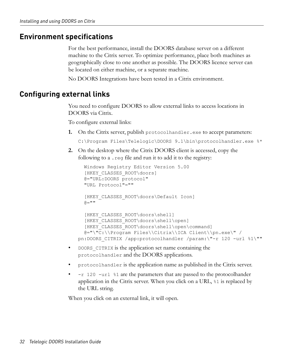### <span id="page-39-0"></span>**Environment specifications**

For the best performance, install the DOORS database server on a different machine to the Citrix server. To optimize performance, place both machines as geographically close to one another as possible. The DOORS licence server can be located on either machine, or a separate machine.

<span id="page-39-2"></span>No DOORS Integrations have been tested in a Citrix environment.

#### <span id="page-39-1"></span>**Configuring external links**

You need to configure DOORS to allow external links to access locations in DOORS via Citrix.

To configure external links:

**1.** On the Citrix server, publish protocolhandler.exe to accept parameters:

```
C:\Program Files\Telelogic\DOORS 9.1\bin\protocolhandler.exe %*
```
**2.** On the desktop where the Citrix DOORS client is accessed, copy the following to a .reg file and run it to add it to the registry:

```
 Windows Registry Editor Version 5.00
   [HKEY_CLASSES_ROOT\doors]
   @="URL:DOORS protocol"
   "URL Protocol"=""
   [HKEY_CLASSES_ROOT\doors\Default Icon]
  a =""
   [HKEY_CLASSES_ROOT\doors\shell]
   [HKEY_CLASSES_ROOT\doors\shell\open]
   [HKEY_CLASSES_ROOT\doors\shell\open\command]
   @="\"C:\\Program Files\\Citrix\\ICA Client\\pn.exe\" /
pn:DOORS_CITRIX /app:protocolhandler /param:\"-r 120 -url %1\""
```
- DOORS CITRIX is the application set name containing the protocolhandler and the DOORS applications.
- protocolhandler is the application name as published in the Citrix server.
- $-r$  120 -url  $\pm 1$  are the parameters that are passed to the protocolhander application in the Citrix server. When you click on a URL, %1 is replaced by the URL string.

When you click on an external link, it will open.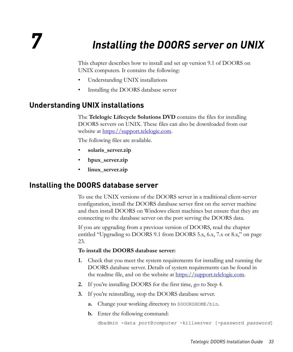# <span id="page-40-3"></span>*7 Installing the DOORS server on UNIX*

<span id="page-40-0"></span>This chapter describes how to install and set up version 9.1 of DOORS on UNIX computers. It contains the following:

- [Understanding UNIX installations](#page-40-1)
- [Installing the DOORS database server](#page-40-2)

### <span id="page-40-5"></span><span id="page-40-1"></span>**Understanding UNIX installations**

The **Telelogic Lifecycle Solutions DVD** contains the files for installing DOORS servers on UNIX. These files can also be downloaded from our website at https://support.telelogic.com.

The following files are available.

- **solaris\_server.zip**
- **hpux\_server.zip**
- linux server.zip

#### <span id="page-40-4"></span><span id="page-40-2"></span>**Installing the DOORS database server**

To use the UNIX versions of the DOORS server in a traditional client-server configuration, install the DOORS database server first on the server machine and then install DOORS on Windows client machines but ensure that they are connecting to the database server on the port serving the DOORS data.

If you are upgrading from a previous version of DOORS, read the chapter entitled ["Upgrading to DOORS 9.1 from DOORS 5.x, 6.x, 7.x or 8.x," on page](#page-30-3)  [23](#page-30-3).

#### **To install the DOORS database server:**

- **1.** Check that you meet the system requirements for installing and running the DOORS database server. Details of system requirements can be found in the readme file, and on the website at https://support.telelogic.com.
- **2.** If you're installing DOORS for the first time, go to [Step 4.](#page-41-0)
- **3.** If you're reinstalling, stop the DOORS database server.
	- **a.** Change your working directory to \$DOORSHOME/bin.
	- **b.** Enter the following command:

dbadmin -data *port*@*computer* -killserver [-password *password*]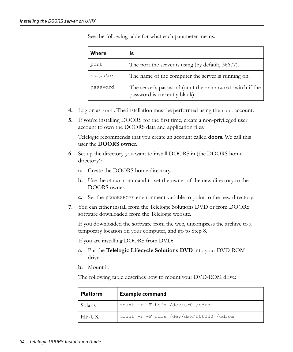| Where    | Is                                                                                       |
|----------|------------------------------------------------------------------------------------------|
| port     | The port the server is using (by default, 36677).                                        |
| computer | The name of the computer the server is running on.                                       |
| password | The server's password (omit the -password switch if the<br>password is currently blank). |

See the following table for what each parameter means.

- <span id="page-41-0"></span>**4.** Log on as root. The installation must be performed using the root account.
- **5.** If you're installing DOORS for the first time, create a non-privileged user account to own the DOORS data and application files.

Telelogic recommends that you create an account called **doors**. We call this user the **DOORS owner**.

- <span id="page-41-1"></span>**6.** Set up the directory you want to install DOORS in (the DOORS home directory):
	- **a.** Create the DOORS home directory.
	- **b.** Use the chown command to set the owner of the new directory to the DOORS owner.
	- **c.** Set the \$DOORSHOME environment variable to point to the new directory.
- <span id="page-41-2"></span>**7.** You can either install from the Telelogic Solutions DVD or from DOORS software downloaded from the Telelogic website.

If you downloaded the software from the web, uncompress the archive to a temporary location on your computer, and go to [Step 8.](#page-42-0)

If you are installing DOORS from DVD:

- **a.** Put the **Telelogic Lifecycle Solutions DVD** into your DVD-ROM drive.
- **b.** Mount it.

The following table describes how to mount your DVD-ROM drive:

| <b>Platform</b> | <b>Example command</b>                  |
|-----------------|-----------------------------------------|
| Solaris         | mount $-r$ -F hsfs /dev/sr0 /cdrom      |
| l hp-ux         | mount -r -F cdfs /dev/dsk/c0t2d0 /cdrom |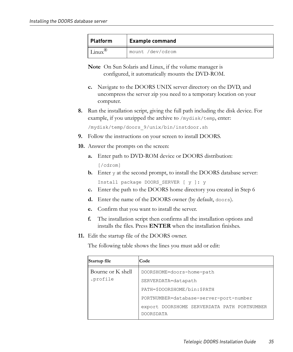| Platform              | <b>Example command</b> |
|-----------------------|------------------------|
| $\mathbb{R}$<br>L1NUX | mount /dev/cdrom       |

**Note** On Sun Solaris and Linux, if the volume manager is configured, it automatically mounts the DVD-ROM.

- **c.** Navigate to the DOORS UNIX server directory on the DVD, and uncompress the server zip you need to a temporary location on your computer.
- <span id="page-42-0"></span>**8.** Run the installation script, giving the full path including the disk device. For example, if you unzipped the archive to /mydisk/temp, enter:

/mydisk/temp/doors\_9/unix/bin/instdoor.sh

- **9.** Follow the instructions on your screen to install DOORS.
- **10.** Answer the prompts on the screen:
	- **a.** Enter path to DVD-ROM device or DOORS distribution: [/cdrom]
	- **b.** Enter y at the second prompt, to install the DOORS database server:

Install package DOORS\_SERVER [ y ]: y

- **c.** Enter the path to the DOORS home directory you created in [Step 6](#page-41-1)
- **d.** Enter the name of the DOORS owner (by default, doors).
- **e.** Confirm that you want to install the server.
- **f.** The installation script then confirms all the installation options and installs the files. Press **ENTER** when the installation finishes.
- **11.** Edit the startup file of the DOORS owner.

The following table shows the lines you must add or edit:

<span id="page-42-1"></span>

| Startup file      | Code                                                            |
|-------------------|-----------------------------------------------------------------|
| Bourne or K shell | DOORSHOME=doors-home-path                                       |
| .profile          | SERVERDATA=datapath                                             |
|                   | PATH=\$DOORSHOME/bin:\$PATH                                     |
|                   | PORTNUMBER=database-server-port-number                          |
|                   | export DOORSHOME SERVERDATA PATH PORTNUMBER<br><b>DOORSDATA</b> |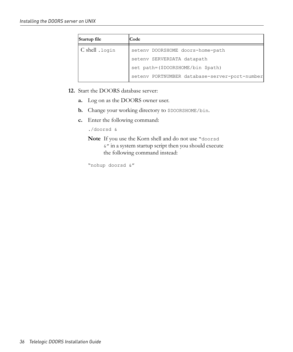<span id="page-43-0"></span>

| Startup file   | Code                                          |
|----------------|-----------------------------------------------|
| C shell .login | setenv DOORSHOME doors-home-path              |
|                | setenv SERVERDATA datapath                    |
|                | set path=(\$DOORSHOME/bin \$path)             |
|                | setenv PORTNUMBER database-server-port-number |

- **12.** Start the DOORS database server:
	- **a.** Log on as the DOORS owner user.
	- **b.** Change your working directory to \$DOORSHOME/bin.
	- **c.** Enter the following command:

./doorsd &

**Note** If you use the Korn shell and do not use "doorsd &" in a system startup script then you should execute the following command instead:

"nohup doorsd &"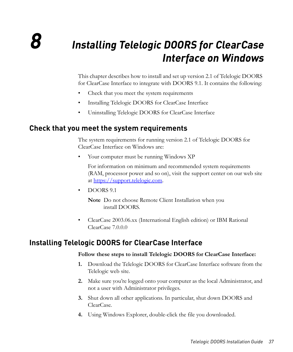# <span id="page-44-0"></span>*8 Installing Telelogic DOORS for ClearCase Interface on Windows*

This chapter describes how to install and set up version 2.1 of Telelogic DOORS for ClearCase Interface to integrate with DOORS 9.1. It contains the following:

- [Check that you meet the system requirements](#page-44-1)
- [Installing Telelogic DOORS for ClearCase Interface](#page-44-2)
- <span id="page-44-4"></span>• [Uninstalling Telelogic DOORS for ClearCase Interface](#page-45-0)

#### <span id="page-44-1"></span>**Check that you meet the system requirements**

The system requirements for running version 2.1 of Telelogic DOORS for ClearCase Interface on Windows are:

• Your computer must be running Windows XP

For information on minimum and recommended system requirements (RAM, processor power and so on), visit the support center on our web site at https://support.telelogic.com.

• DOORS 9.1

**Note** Do not choose Remote Client Installation when you install DOORS.

• ClearCase 2003.06.xx (International English edition) or IBM Rational ClearCase 7.0.0.0

# <span id="page-44-2"></span>**Installing Telelogic DOORS for ClearCase Interface**

#### <span id="page-44-3"></span>**Follow these steps to install Telelogic DOORS for ClearCase Interface:**

- **1.** Download the Telelogic DOORS for ClearCase Interface software from the Telelogic web site.
- **2.** Make sure you're logged onto your computer as the local Administrator, and not a user with Administrator privileges.
- **3.** Shut down all other applications. In particular, shut down DOORS and ClearCase.
- **4.** Using Windows Explorer, double-click the file you downloaded.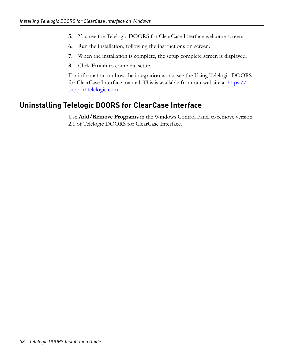- **5.** You see the Telelogic DOORS for ClearCase Interface welcome screen.
- **6.** Run the installation, following the instructions on screen.
- **7.** When the installation is complete, the setup complete screen is displayed.
- **8.** Click **Finish** to complete setup.

For information on how the integration works see the Using Telelogic DOORS for ClearCase Interface manual. This is available from our website at https:// support.telelogic.com.

# <span id="page-45-0"></span>**Uninstalling Telelogic DOORS for ClearCase Interface**

<span id="page-45-1"></span>Use **Add/Remove Programs** in the Windows Control Panel to remove version 2.1 of Telelogic DOORS for ClearCase Interface.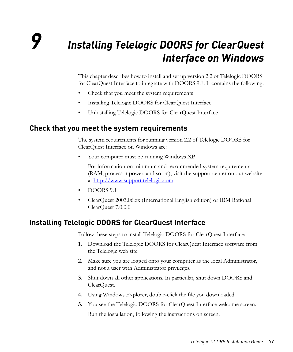# <span id="page-46-0"></span>*9 Installing Telelogic DOORS for ClearQuest Interface on Windows*

This chapter describes how to install and set up version 2.2 of Telelogic DOORS for ClearQuest Interface to integrate with DOORS 9.1. It contains the following:

- [Check that you meet the system requirements](#page-46-1)
- [Installing Telelogic DOORS for ClearQuest Interface](#page-46-2)
- <span id="page-46-4"></span>• [Uninstalling Telelogic DOORS for ClearQuest Interface](#page-47-0)

### <span id="page-46-1"></span>**Check that you meet the system requirements**

The system requirements for running version 2.2 of Telelogic DOORS for ClearQuest Interface on Windows are:

• Your computer must be running Windows XP

For information on minimum and recommended system requirements (RAM, processor power, and so on), visit the support center on our website at http://www.support.telelogic.com.

- DOORS 9.1
- ClearQuest 2003.06.xx (International English edition) or IBM Rational ClearQuest 7.0.0.0

# <span id="page-46-3"></span><span id="page-46-2"></span>**Installing Telelogic DOORS for ClearQuest Interface**

Follow these steps to install Telelogic DOORS for ClearQuest Interface:

- **1.** Download the Telelogic DOORS for ClearQuest Interface software from the Telelogic web site.
- **2.** Make sure you are logged onto your computer as the local Administrator, and not a user with Administrator privileges.
- **3.** Shut down all other applications. In particular, shut down DOORS and ClearQuest.
- **4.** Using Windows Explorer, double-click the file you downloaded.
- **5.** You see the Telelogic DOORS for ClearQuest Interface welcome screen. Run the installation, following the instructions on screen.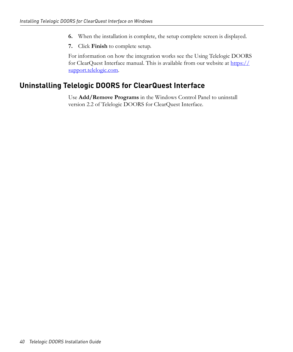- **6.** When the installation is complete, the setup complete screen is displayed.
- **7.** Click **Finish** to complete setup.

For information on how the integration works see the Using Telelogic DOORS for ClearQuest Interface manual. This is available from our website at https:// support.telelogic.com.

# <span id="page-47-1"></span><span id="page-47-0"></span>**Uninstalling Telelogic DOORS for ClearQuest Interface**

Use **Add/Remove Programs** in the Windows Control Panel to uninstall version 2.2 of Telelogic DOORS for ClearQuest Interface.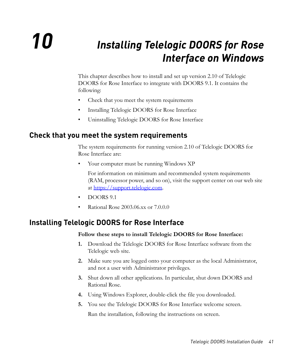# <span id="page-48-0"></span>*10 Installing Telelogic DOORS for Rose Interface on Windows*

This chapter describes how to install and set up version 2.10 of Telelogic DOORS for Rose Interface to integrate with DOORS 9.1. It contains the following:

- [Check that you meet the system requirements](#page-48-1)
- [Installing Telelogic DOORS for Rose Interface](#page-48-2)
- [Uninstalling Telelogic DOORS for Rose Interface](#page-49-0)

### <span id="page-48-1"></span>**Check that you meet the system requirements**

The system requirements for running version 2.10 of Telelogic DOORS for Rose Interface are:

• Your computer must be running Windows XP

<span id="page-48-4"></span>For information on minimum and recommended system requirements (RAM, processor power, and so on), visit the support center on our web site at https://support.telelogic.com.

- DOORS 9.1
- Rational Rose 2003.06.xx or 7.0.0.0

# <span id="page-48-2"></span>**Installing Telelogic DOORS for Rose Interface**

#### <span id="page-48-3"></span>**Follow these steps to install Telelogic DOORS for Rose Interface:**

- **1.** Download the Telelogic DOORS for Rose Interface software from the Telelogic web site.
- **2.** Make sure you are logged onto your computer as the local Administrator, and not a user with Administrator privileges.
- **3.** Shut down all other applications. In particular, shut down DOORS and Rational Rose.
- **4.** Using Windows Explorer, double-click the file you downloaded.
- **5.** You see the Telelogic DOORS for Rose Interface welcome screen.

Run the installation, following the instructions on screen.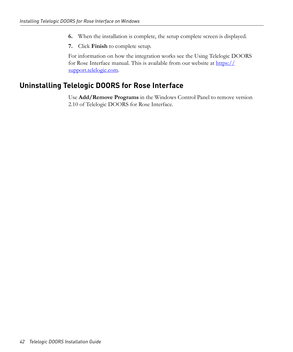- **6.** When the installation is complete, the setup complete screen is displayed.
- **7.** Click **Finish** to complete setup.

For information on how the integration works see the Using Telelogic DOORS for Rose Interface manual. This is available from our website at https:// support.telelogic.com.

# <span id="page-49-1"></span><span id="page-49-0"></span>**Uninstalling Telelogic DOORS for Rose Interface**

Use **Add/Remove Programs** in the Windows Control Panel to remove version 2.10 of Telelogic DOORS for Rose Interface.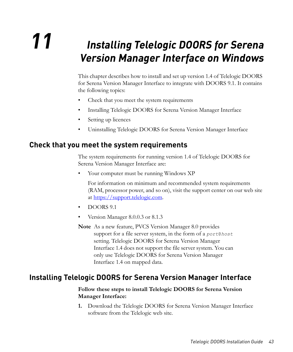# <span id="page-50-0"></span>*11 Installing Telelogic DOORS for Serena Version Manager Interface on Windows*

This chapter describes how to install and set up version 1.4 of Telelogic DOORS for Serena Version Manager Interface to integrate with DOORS 9.1. It contains the following topics:

- [Check that you meet the system requirements](#page-50-1)
- [Installing Telelogic DOORS for Serena Version Manager Interface](#page-50-2)
- [Setting up licences](#page-51-0)
- <span id="page-50-4"></span>• [Uninstalling Telelogic DOORS for Serena Version Manager Interface](#page-51-1)

#### <span id="page-50-1"></span>**Check that you meet the system requirements**

The system requirements for running version 1.4 of Telelogic DOORS for Serena Version Manager Interface are:

• Your computer must be running Windows XP

For information on minimum and recommended system requirements (RAM, processor power, and so on), visit the support center on our web site at https://support.telelogic.com.

- DOORS 9.1
- Version Manager 8.0.0.3 or 8.1.3
- **Note** As a new feature, PVCS Version Manager 8.0 provides support for a file server system, in the form of a *port*@*host* setting. Telelogic DOORS for Serena Version Manager Interface 1.4 does not support the file server system. You can only use Telelogic DOORS for Serena Version Manager Interface 1.4 on mapped data.

### <span id="page-50-2"></span>**Installing Telelogic DOORS for Serena Version Manager Interface**

#### <span id="page-50-3"></span>**Follow these steps to install Telelogic DOORS for Serena Version Manager Interface:**

**1.** Download the Telelogic DOORS for Serena Version Manager Interface software from the Telelogic web site.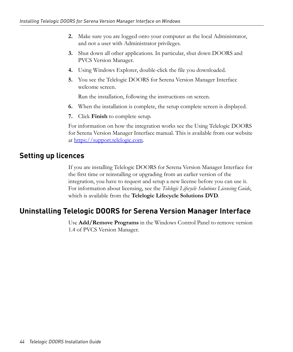- **2.** Make sure you are logged onto your computer as the local Administrator, and not a user with Administrator privileges.
- **3.** Shut down all other applications. In particular, shut down DOORS and PVCS Version Manager.
- **4.** Using Windows Explorer, double-click the file you downloaded.
- **5.** You see the Telelogic DOORS for Serena Version Manager Interface welcome screen.

Run the installation, following the instructions on screen.

- **6.** When the installation is complete, the setup complete screen is displayed.
- **7.** Click **Finish** to complete setup.

For information on how the integration works see the Using Telelogic DOORS for Serena Version Manager Interface manual. This is available from our website at https://support.telelogic.com.

#### <span id="page-51-0"></span>**Setting up licences**

If you are installing Telelogic DOORS for Serena Version Manager Interface for the first time or reinstalling or upgrading from an earlier version of the integration, you have to request and setup a new license before you can use it. For information about licensing, see the *Telelogic Lifecycle Solutions Licensing Guide*, which is available from the **Telelogic Lifecycle Solutions DVD**.

# <span id="page-51-2"></span><span id="page-51-1"></span>**Uninstalling Telelogic DOORS for Serena Version Manager Interface**

Use **Add/Remove Programs** in the Windows Control Panel to remove version 1.4 of PVCS Version Manager.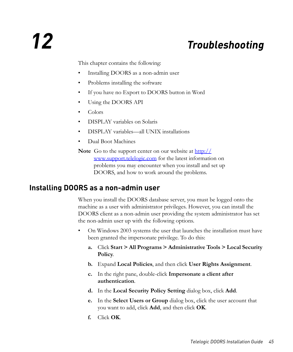# <span id="page-52-0"></span>*12 Troubleshooting*

<span id="page-52-3"></span>This chapter contains the following:

- [Installing DOORS as a non-admin user](#page-52-1)
- [Problems installing the software](#page-53-0)
- [If you have no Export to DOORS button in Word](#page-53-1)
- [Using the DOORS API](#page-54-0)
- [Colors](#page-54-1)
- [DISPLAY variables on Solaris](#page-54-2)
- [DISPLAY variables—all UNIX installations](#page-54-3)
- [Dual Boot Machines](#page-54-4)
- **Note** Go to the support center on our website at  $\frac{http://}{http://}$ www.support.telelogic.com for the latest information on problems you may encounter when you install and set up DOORS, and how to work around the problems.

# <span id="page-52-2"></span><span id="page-52-1"></span>**Installing DOORS as a non-admin user**

When you install the DOORS database server, you must be logged onto the machine as a user with administrator privileges. However, you can install the DOORS client as a non-admin user providing the system administrator has set the non-admin user up with the following options.

- On Windows 2003 systems the user that launches the installation must have been granted the impersonate privilege. To do this:
	- **a.** Click **Start > All Programs > Administrative Tools > Local Security Policy**.
	- **b.** Expand **Local Policies**, and then click **User Rights Assignment**.
	- **c.** In the right pane, double-click **Impersonate a client after authentication**.
	- **d.** In the **Local Security Policy Setting** dialog box, click **Add**.
	- **e.** In the **Select Users or Group** dialog box, click the user account that you want to add, click **Add**, and then click **OK**.
	- **f.** Click **OK**.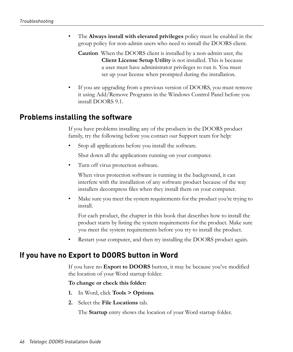- The **Always install with elevated privileges** policy must be enabled in the group policy for non-admin users who need to install the DOORS client.
	- **Caution** When the DOORS client is installed by a non-admin user, the **Client License Setup Utility** is not installed. This is because a user must have administrator privileges to run it. You must set up your license when prompted during the installation.
- If you are upgrading from a previous version of DOORS, you must remove it using Add/Remove Programs in the Windows Control Panel before you install DOORS 9.1.

### <span id="page-53-0"></span>**Problems installing the software**

If you have problems installing any of the products in the DOORS product family, try the following before you contact our Support team for help:

Stop all applications before you install the software.

Shut down all the applications running on your computer.

• Turn off virus protection software.

When virus protection software is running in the background, it can interfere with the installation of any software product because of the way installers decompress files when they install them on your computer.

• Make sure you meet the system requirements for the product you're trying to install.

For each product, the chapter in this book that describes how to install the product starts by listing the system requirements for the product. Make sure you meet the system requirements before you try to install the product.

Restart your computer, and then try installing the DOORS product again.

### <span id="page-53-1"></span>**If you have no Export to DOORS button in Word**

If you have no **Export to DOORS** button, it may be because you've modified the location of your Word startup folder.

#### **To change or check this folder:**

- **1.** In Word, click **Tools > Options**.
- **2.** Select the **File Locations** tab.

The **Startup** entry shows the location of your Word startup folder.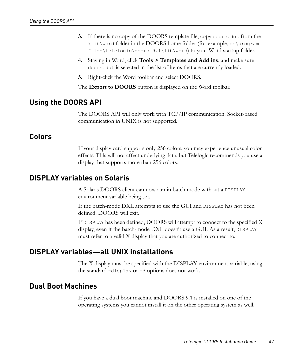- **3.** If there is no copy of the DOORS template file, copy doors.dot from the \lib\word folder in the DOORS home folder (for example, c:\program files\telelogic\doors 9.1\lib\word) to your Word startup folder.
- **4.** Staying in Word, click **Tools > Templates and Add ins**, and make sure doors.dot is selected in the list of items that are currently loaded.
- **5.** Right-click the Word toolbar and select DOORS.

The **Export to DOORS** button is displayed on the Word toolbar.

#### <span id="page-54-0"></span>**Using the DOORS API**

The DOORS API will only work with TCP/IP communication. Socket-based communication in UNIX is not supported.

#### <span id="page-54-1"></span>**Colors**

If your display card supports only 256 colors, you may experience unusual color effects. This will not affect underlying data, but Telelogic recommends you use a display that supports more than 256 colors.

#### <span id="page-54-2"></span>**DISPLAY variables on Solaris**

<span id="page-54-5"></span>A Solaris DOORS client can now run in batch mode without a DISPLAY environment variable being set.

If the batch-mode DXL attempts to use the GUI and DISPLAY has not been defined, DOORS will exit.

If DISPLAY has been defined, DOORS will attempt to connect to the specified X display, even if the batch-mode DXL doesn't use a GUI. As a result, DISPLAY must refer to a valid X display that you are authorized to connect to.

#### <span id="page-54-3"></span>**DISPLAY variables—all UNIX installations**

The X display must be specified with the DISPLAY environment variable; using the standard -display or -d options does not work.

#### <span id="page-54-4"></span>**Dual Boot Machines**

If you have a dual boot machine and DOORS 9.1 is installed on one of the operating systems you cannot install it on the other operating system as well.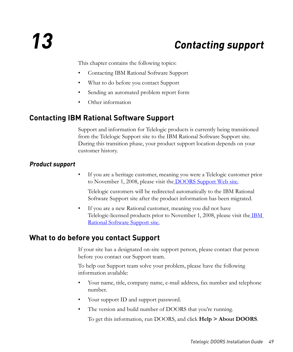# <span id="page-56-0"></span>*13 Contacting support*

This chapter contains the following topics:

- [Contacting IBM Rational Software Support](#page-56-1)
- [What to do before you contact Support](#page-56-3)
- [Sending an automated problem report form](#page-57-0)
- <span id="page-56-4"></span>• [Other information](#page-59-2)

# <span id="page-56-1"></span>**Contacting IBM Rational Software Support**

Support and information for Telelogic products is currently being transitioned from the Telelogic Support site to the IBM Rational Software Support site. During this transition phase, your product support location depends on your customer history.

#### <span id="page-56-2"></span>*Product support*

• If you are a heritage customer, meaning you were a Telelogic customer prior to November 1, 2008, please visit the **DOORS** Support Web site.

Telelogic customers will be redirected automatically to the IBM Rational Software Support site after the product information has been migrated.

If you are a new Rational customer, meaning you did not have Telelogic-licensed products prior to November 1, 2008, please visit the **IBM** [Rational Software Support site.](http://www.ibm.com/software/rational/support/)

# <span id="page-56-3"></span>**What to do before you contact Support**

If your site has a designated on-site support person, please contact that person before you contact our Support team.

To help our Support team solve your problem, please have the following information available:

- Your name, title, company name, e-mail address, fax number and telephone number.
- Your support ID and support password.
- The version and build number of DOORS that you're running.

To get this information, run DOORS, and click **Help > About DOORS**.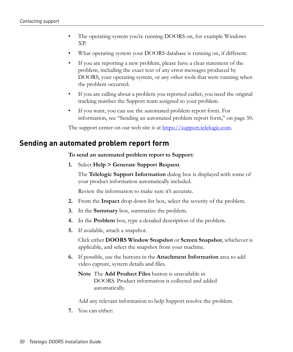- The operating system you're running DOORS on, for example Windows XP.
- What operating system your DOORS database is running on, if different.
- If you are reporting a new problem, please have a clear statement of the problem, including the exact text of any error messages produced by DOORS, your operating system, or any other tools that were running when the problem occurred.
- If you are calling about a problem you reported earlier, you need the original tracking number the Support team assigned to your problem.
- If you want, you can use the automated problem report form. For information, see ["Sending an automated problem report form," on page 50.](#page-57-0)

<span id="page-57-1"></span>The support center on our web site is at https://support.telelogic.com.

#### <span id="page-57-0"></span>**Sending an automated problem report form**

**To send an automated problem report to Support:**

**1.** Select **Help > Generate Support Request**.

The **Telelogic Support Information** dialog box is displayed with some of your product information automatically included.

Review the information to make sure it's accurate.

- **2.** From the **Impact** drop down list box, select the severity of the problem.
- **3.** In the **Summary** box, summarize the problem.
- **4.** In the **Problem** box, type a detailed description of the problem.
- **5.** If available, attach a snapshot.

Click either **DOORS Window Snapshot** or **Screen Snapshot**, whichever is applicable, and select the snapshot from your machine.

- **6.** If possible, use the buttons in the **Attachment Information** area to add video capture, system details and files.
	- **Note** The **Add Product Files** button is unavailable in DOORS. Product information is collected and added automatically.

Add any relevant information to help Support resolve the problem.

**7.** You can either: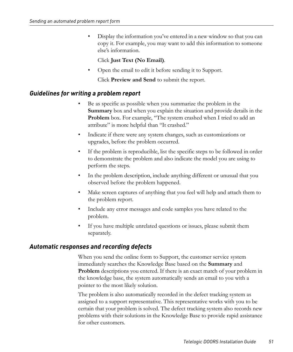• Display the information you've entered in a new window so that you can copy it. For example, you may want to add this information to someone else's information.

#### Click **Just Text (No Email)**.

• Open the email to edit it before sending it to Support.

Click **Preview and Send** to submit the report.

#### <span id="page-58-0"></span>*Guidelines for writing a problem report*

- Be as specific as possible when you summarize the problem in the **Summary** box and when you explain the situation and provide details in the **Problem** box. For example, "The system crashed when I tried to add an attribute" is more helpful than "It crashed."
- Indicate if there were any system changes, such as customizations or upgrades, before the problem occurred.
- If the problem is reproducible, list the specific steps to be followed in order to demonstrate the problem and also indicate the model you are using to perform the steps.
- In the problem description, include anything different or unusual that you observed before the problem happened.
- Make screen captures of anything that you feel will help and attach them to the problem report.
- Include any error messages and code samples you have related to the problem.
- If you have multiple unrelated questions or issues, please submit them separately.

#### <span id="page-58-1"></span>*Automatic responses and recording defects*

When you send the online form to Support, the customer service system immediately searches the Knowledge Base based on the **Summary** and **Problem** descriptions you entered. If there is an exact match of your problem in the knowledge base, the system automatically sends an email to you with a pointer to the most likely solution.

The problem is also automatically recorded in the defect tracking system as assigned to a support representative. This representative works with you to be certain that your problem is solved. The defect tracking system also records new problems with their solutions in the Knowledge Base to provide rapid assistance for other customers.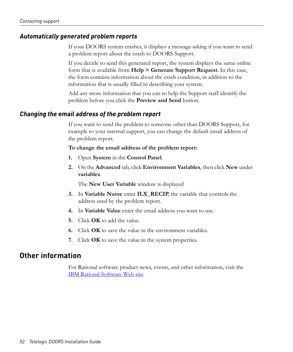#### <span id="page-59-0"></span>*Automatically generated problem reports*

If your DOORS system crashes, it displays a message asking if you want to send a problem report about the crash to DOORS Support.

If you decide to send this generated report, the system displays the same online form that is available from **Help > Generate Support Request**. In this case, the form contains information about the crash condition, in addition to the information that is usually filled in describing your system.

<span id="page-59-3"></span>Add any more information that you can to help the Support staff identify the problem before you click the **Preview and Send** button.

#### <span id="page-59-1"></span>*Changing the email address of the problem report*

If you want to send the problem to someone other than DOORS Support, for example to your internal support, you can change the default email address of the problem report.

#### **To change the email address of the problem report:**

- **1.** Open **System** in the **Control Panel**.
- **2.** On the **Advanced** tab, click **Environment Variables**, then click **New** under **variables**.

The **New User Variable** window is displayed

- **3.** In **Variable Name** enter **ILX\_RECIP**, the variable that controls the address used by the problem report.
- **4.** In **Variable Value** enter the email address you want to use.
- **5.** Click **OK** to add the value.
- **6.** Click **OK** to save the value in the environment variables.
- **7.** Click **OK** to save the value in the system properties.

#### <span id="page-59-2"></span>**Other information**

For Rational software product news, events, and other information, visit the [IBM Rational Software Web site.](http://www.ibm.com/software/rational/)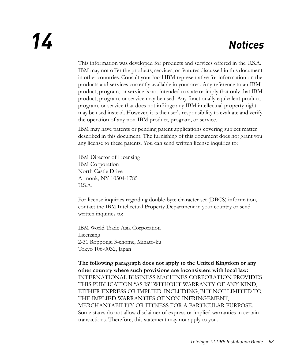# <span id="page-60-1"></span>*14 Notices*

<span id="page-60-0"></span>This information was developed for products and services offered in the U.S.A. IBM may not offer the products, services, or features discussed in this document in other countries. Consult your local IBM representative for information on the products and services currently available in your area. Any reference to an IBM product, program, or service is not intended to state or imply that only that IBM product, program, or service may be used. Any functionally equivalent product, program, or service that does not infringe any IBM intellectual property right may be used instead. However, it is the user's responsibility to evaluate and verify the operation of any non-IBM product, program, or service.

IBM may have patents or pending patent applications covering subject matter described in this document. The furnishing of this document does not grant you any license to these patents. You can send written license inquiries to:

IBM Director of Licensing IBM Corporation North Castle Drive Armonk, NY 10504-1785 U.S.A.

For license inquiries regarding double-byte character set (DBCS) information, contact the IBM Intellectual Property Department in your country or send written inquiries to:

IBM World Trade Asia Corporation Licensing 2-31 Roppongi 3-chome, Minato-ku Tokyo 106-0032, Japan

**The following paragraph does not apply to the United Kingdom or any other country where such provisions are inconsistent with local law:** INTERNATIONAL BUSINESS MACHINES CORPORATION PROVIDES THIS PUBLICATION "AS IS" WITHOUT WARRANTY OF ANY KIND, EITHER EXPRESS OR IMPLIED, INCLUDING, BUT NOT LIMITED TO, THE IMPLIED WARRANTIES OF NON-INFRINGEMENT, MERCHANTABILITY OR FITNESS FOR A PARTICULAR PURPOSE. Some states do not allow disclaimer of express or implied warranties in certain transactions. Therefore, this statement may not apply to you.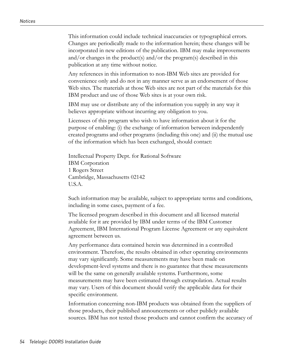This information could include technical inaccuracies or typographical errors. Changes are periodically made to the information herein; these changes will be incorporated in new editions of the publication. IBM may make improvements and/or changes in the product(s) and/or the program(s) described in this publication at any time without notice.

Any references in this information to non-IBM Web sites are provided for convenience only and do not in any manner serve as an endorsement of those Web sites. The materials at those Web sites are not part of the materials for this IBM product and use of those Web sites is at your own risk.

IBM may use or distribute any of the information you supply in any way it believes appropriate without incurring any obligation to you.

Licensees of this program who wish to have information about it for the purpose of enabling: (i) the exchange of information between independently created programs and other programs (including this one) and (ii) the mutual use of the information which has been exchanged, should contact:

Intellectual Property Dept. for Rational Software IBM Corporation 1 Rogers Street Cambridge, Massachusetts 02142 U.S.A.

Such information may be available, subject to appropriate terms and conditions, including in some cases, payment of a fee.

The licensed program described in this document and all licensed material available for it are provided by IBM under terms of the IBM Customer Agreement, IBM International Program License Agreement or any equivalent agreement between us.

Any performance data contained herein was determined in a controlled environment. Therefore, the results obtained in other operating environments may vary significantly. Some measurements may have been made on development-level systems and there is no guarantee that these measurements will be the same on generally available systems. Furthermore, some measurements may have been estimated through extrapolation. Actual results may vary. Users of this document should verify the applicable data for their specific environment.

Information concerning non-IBM products was obtained from the suppliers of those products, their published announcements or other publicly available sources. IBM has not tested those products and cannot confirm the accuracy of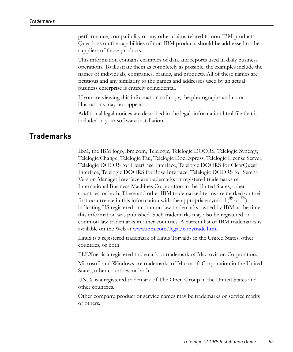performance, compatibility or any other claims related to non-IBM products. Questions on the capabilities of non-IBM products should be addressed to the suppliers of those products.

This information contains examples of data and reports used in daily business operations. To illustrate them as completely as possible, the examples include the names of individuals, companies, brands, and products. All of these names are fictitious and any similarity to the names and addresses used by an actual business enterprise is entirely coincidental.

If you are viewing this information softcopy, the photographs and color illustrations may not appear.

Additional legal notices are described in the legal\_information.html file that is included in your software installation.

#### <span id="page-62-0"></span>**Trademarks**

IBM, the IBM logo, ibm.com, Telelogic, Telelogic DOORS, Telelogic Synergy, Telelogic Change, Telelogic Tau, Telelogic DocExpress, Telelogic License Server, Telelogic DOORS for ClearCase Interface, Telelogic DOORS for ClearQuest Interface, Telelogic DOORS for Rose Interface, Telelogic DOORS for Serena Version Manager Interface are trademarks or registered trademarks of International Business Machines Corporation in the United States, other countries, or both. These and other IBM trademarked terms are marked on their first occurrence in this information with the appropriate symbol  $\binom{\mathbb{R}}{2}$  or  $\mathbb{I}^{\mathsf{M}}$ , indicating US registered or common law trademarks owned by IBM at the time this information was published. Such trademarks may also be registered or common law trademarks in other countries. A current list of IBM trademarks is available on the Web at www.ibm.com/legal/copytrade.html.

Linux is a registered trademark of Linus Torvalds in the United States, other countries, or both.

FLEXnet is a registered trademark or trademark of Macrovision Corporation.

Microsoft and Windows are trademarks of Microsoft Corporation in the United States, other countries, or both.

UNIX is a registered trademark of The Open Group in the United States and other countries.

Other company, product or service names may be trademarks or service marks of others.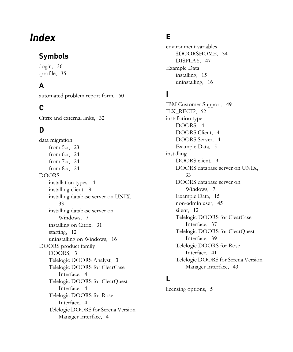# *Index*

# **Symbols**

.login, [36](#page-43-0) .profile, [35](#page-42-1)

# **A**

automated problem report form, [50](#page-57-1)

# **C**

Citrix and external links, [32](#page-39-2)

# **D**

data migration from 5.x, [23](#page-30-4) from 6.x, [24](#page-31-3) from 7.x, [24](#page-31-4) from 8.x, [24](#page-31-5) DOORS installation types, [4](#page-11-1) installing client, [9](#page-16-1) installing database server on UNIX, [33](#page-40-4) installing database server on Windows, [7](#page-14-3) installing on Citrix, [31](#page-38-4) starting, [12](#page-19-3) uninstalling on Windows, [16](#page-23-1) DOORS product family DOORS, [3](#page-10-2) Telelogic DOORS Analyst, [3](#page-10-3) Telelogic DOORS for ClearCase Interface, [4](#page-11-2) Telelogic DOORS for ClearQuest Interface, [4](#page-11-3) Telelogic DOORS for Rose Interface, [4](#page-11-4) Telelogic DOORS for Serena Version Manager Interface, [4](#page-11-5)

# **E**

environment variables \$DOORSHOME, [34](#page-41-2) DISPLAY, [47](#page-54-5) Example Data installing, [15](#page-22-4) uninstalling, [16](#page-23-1)

# **I**

IBM Customer Support, [49](#page-56-4) ILX\_RECIP, [52](#page-59-3) installation type DOORS, [4](#page-11-1) DOORS Client, [4](#page-11-6) DOORS Server, [4](#page-11-7) Example Data, [5](#page-12-2) installing DOORS client, [9](#page-16-1) DOORS database server on UNIX, [33](#page-40-4) DOORS database server on Windows, [7](#page-14-3) Example Data, [15](#page-22-4) non-admin user, [45](#page-52-2) silent, [12](#page-19-4) Telelogic DOORS for ClearCase Interface, [37](#page-44-3) Telelogic DOORS for ClearQuest Interface, [39](#page-46-3) Telelogic DOORS for Rose Interface, [41](#page-48-3) Telelogic DOORS for Serena Version Manager Interface, [43](#page-50-3)

### **L**

licensing options, [5](#page-12-3)